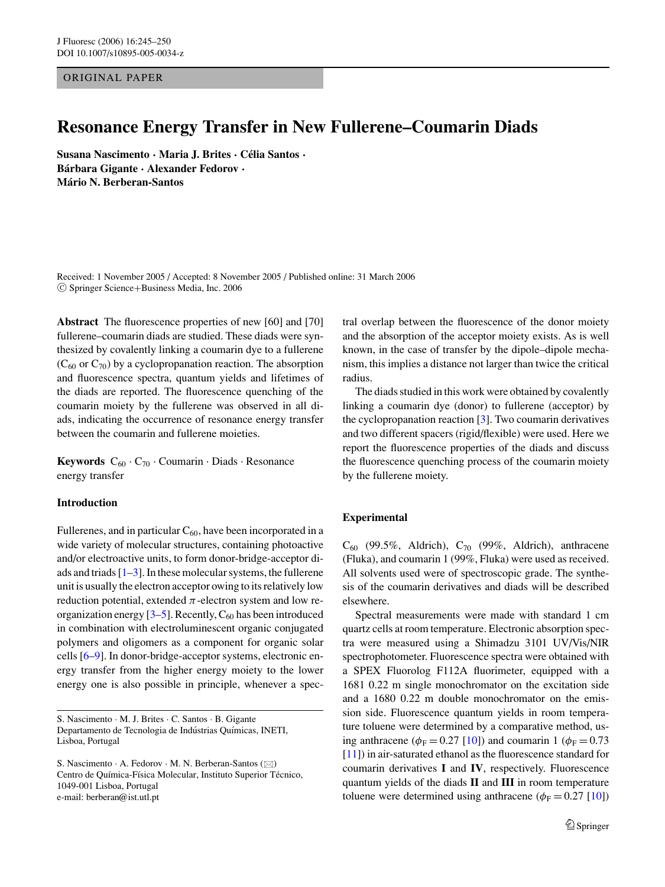ORIGINAL PAPER

## **Resonance Energy Transfer in New Fullerene–Coumarin Diads**

**Susana Nascimento · Maria J. Brites · Celia Santos ´ · Barbara Gigante ´ · Alexander Fedorov · Mario N. Berberan-Santos ´**

Received: 1 November 2005 / Accepted: 8 November 2005 / Published online: 31 March 2006 <sup>C</sup> Springer Science+Business Media, Inc. 2006

**Abstract** The fluorescence properties of new [60] and [70] fullerene–coumarin diads are studied. These diads were synthesized by covalently linking a coumarin dye to a fullerene  $(C_{60}$  or  $C_{70}$ ) by a cyclopropanation reaction. The absorption and fluorescence spectra, quantum yields and lifetimes of the diads are reported. The fluorescence quenching of the coumarin moiety by the fullerene was observed in all diads, indicating the occurrence of resonance energy transfer between the coumarin and fullerene moieties.

**Keywords**  $C_{60} \cdot C_{70} \cdot$  Coumarin  $\cdot$  Diads  $\cdot$  Resonance energy transfer

## **Introduction**

Fullerenes, and in particular  $C_{60}$ , have been incorporated in a wide variety of molecular structures, containing photoactive and/or electroactive units, to form donor-bridge-acceptor diads and triads  $[1-3]$  $[1-3]$ . In these molecular systems, the fullerene unit is usually the electron acceptor owing to its relatively low reduction potential, extended  $\pi$ -electron system and low reorganization energy  $[3-5]$  $[3-5]$ . Recently,  $C_{60}$  has been introduced in combination with electroluminescent organic conjugated polymers and oligomers as a component for organic solar cells [\[6–](#page-4-3)[9\]](#page-5-0). In donor-bridge-acceptor systems, electronic energy transfer from the higher energy moiety to the lower energy one is also possible in principle, whenever a spec-

S. Nascimento · M. J. Brites · C. Santos · B. Gigante Departamento de Tecnologia de Indústrias Químicas, INETI, Lisboa, Portugal

tral overlap between the fluorescence of the donor moiety and the absorption of the acceptor moiety exists. As is well known, in the case of transfer by the dipole–dipole mechanism, this implies a distance not larger than twice the critical radius.

The diads studied in this work were obtained by covalently linking a coumarin dye (donor) to fullerene (acceptor) by the cyclopropanation reaction [\[3\]](#page-4-1). Two coumarin derivatives and two different spacers (rigid/flexible) were used. Here we report the fluorescence properties of the diads and discuss the fluorescence quenching process of the coumarin moiety by the fullerene moiety.

## **Experimental**

 $C_{60}$  (99.5%, Aldrich),  $C_{70}$  (99%, Aldrich), anthracene (Fluka), and coumarin 1 (99%, Fluka) were used as received. All solvents used were of spectroscopic grade. The synthesis of the coumarin derivatives and diads will be described elsewhere.

Spectral measurements were made with standard 1 cm quartz cells at room temperature. Electronic absorption spectra were measured using a Shimadzu 3101 UV/Vis/NIR spectrophotometer. Fluorescence spectra were obtained with a SPEX Fluorolog F112A fluorimeter, equipped with a 1681 0.22 m single monochromator on the excitation side and a 1680 0.22 m double monochromator on the emission side. Fluorescence quantum yields in room temperature toluene were determined by a comparative method, using anthracene ( $\phi_F = 0.27$  [\[10\]](#page-5-1)) and coumarin 1 ( $\phi_F = 0.73$ [\[11\]](#page-5-2)) in air-saturated ethanol as the fluorescence standard for coumarin derivatives **I** and **IV**, respectively. Fluorescence quantum yields of the diads **II** and **III** in room temperature toluene were determined using anthracene ( $\phi_F = 0.27$  [\[10\]](#page-5-1))

S. Nascimento  $\cdot$  A. Fedorov  $\cdot$  M. N. Berberan-Santos ( $\boxtimes$ ) Centro de Química-Física Molecular, Instituto Superior Técnico, 1049-001 Lisboa, Portugal e-mail: berberan@ist.utl.pt